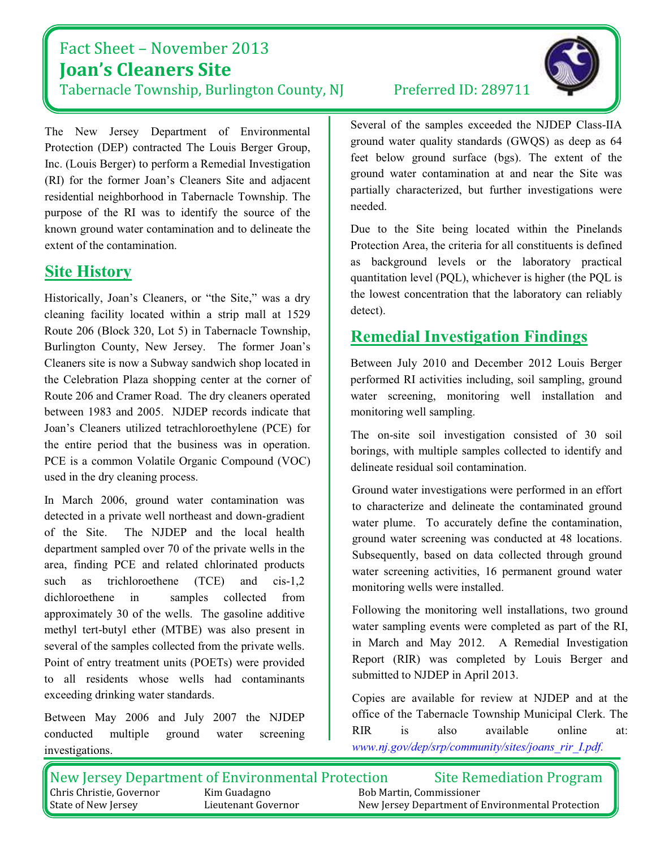## Fact Sheet - November 2013 **Joan's Cleaners Site**

Tabernacle Township, Burlington County, NJ

The New Jersey Department of Environmental Protection (DEP) contracted The Louis Berger Group, Inc. (Louis Berger) to perform a Remedial Investigation (RI) for the former Joan's Cleaners Site and adjacent residential neighborhood in Tabernacle Township. The purpose of the RI was to identify the source of the known ground water contamination and to delineate the extent of the contamination.

## **Site History**

Historically, Joan's Cleaners, or "the Site," was a dry cleaning facility located within a strip mall at 1529 Route 206 (Block 320, Lot 5) in Tabernacle Township, Burlington County, New Jersey. The former Joan's Cleaners site is now a Subway sandwich shop located in the Celebration Plaza shopping center at the corner of Route 206 and Cramer Road. The dry cleaners operated between 1983 and 2005. NJDEP records indicate that Joan's Cleaners utilized tetrachloroethylene (PCE) for the entire period that the business was in operation. PCE is a common Volatile Organic Compound (VOC) used in the dry cleaning process.

In March 2006, ground water contamination was detected in a private well northeast and down-gradient of the Site. The NJDEP and the local health department sampled over 70 of the private wells in the area, finding PCE and related chlorinated products such as trichloroethene  $(TCE)$ and  $cis-1.2$ dichloroethene in samples collected from approximately 30 of the wells. The gasoline additive methyl tert-butyl ether (MTBE) was also present in several of the samples collected from the private wells. Point of entry treatment units (POETs) were provided to all residents whose wells had contaminants exceeding drinking water standards.

Between May 2006 and July 2007 the NJDEP conducted multiple ground water screening investigations.

#### Preferred ID: 289711

Several of the samples exceeded the NJDEP Class-IIA ground water quality standards (GWQS) as deep as 64 feet below ground surface (bgs). The extent of the ground water contamination at and near the Site was partially characterized, but further investigations were needed.

Due to the Site being located within the Pinelands Protection Area, the criteria for all constituents is defined as background levels or the laboratory practical quantitation level (PQL), whichever is higher (the PQL is the lowest concentration that the laboratory can reliably detect).

## **Remedial Investigation Findings**

Between July 2010 and December 2012 Louis Berger performed RI activities including, soil sampling, ground water screening, monitoring well installation and monitoring well sampling.

The on-site soil investigation consisted of 30 soil borings, with multiple samples collected to identify and delineate residual soil contamination.

Ground water investigations were performed in an effort to characterize and delineate the contaminated ground water plume. To accurately define the contamination, ground water screening was conducted at 48 locations. Subsequently, based on data collected through ground water screening activities, 16 permanent ground water monitoring wells were installed.

Following the monitoring well installations, two ground water sampling events were completed as part of the RI, in March and May 2012. A Remedial Investigation Report (RIR) was completed by Louis Berger and submitted to NJDEP in April 2013.

Copies are available for review at NJDEP and at the office of the Tabernacle Township Municipal Clerk. The **RIR**  $is$ also available online at: www.nj.gov/dep/srp/community/sites/joans rir I.pdf.

| New Jersey Department of Environmental Protection |                     | <b>Site Remediation Program</b>                   |
|---------------------------------------------------|---------------------|---------------------------------------------------|
| <b>Chris Christie, Governor</b>                   | Kim Guadagno        | Bob Martin, Commissioner                          |
| State of New Jersey                               | Lieutenant Governor | New Jersey Department of Environmental Protection |

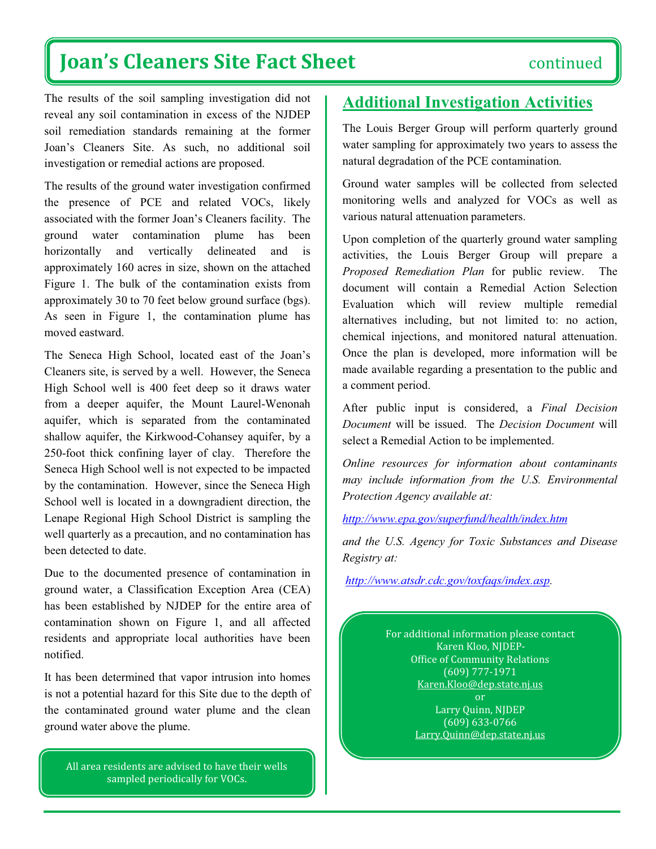# **Joan's Cleaners Site Fact Sheet**

The results of the soil sampling investigation did not reveal any soil contamination in excess of the NJDEP soil remediation standards remaining at the former Joan's Cleaners Site. As such, no additional soil investigation or remedial actions are proposed.

The results of the ground water investigation confirmed the presence of PCE and related VOCs, likely associated with the former Joan's Cleaners facility. The ground water contamination plume has been horizontally and vertically delineated and is approximately 160 acres in size, shown on the attached Figure 1. The bulk of the contamination exists from approximately 30 to 70 feet below ground surface (bgs). As seen in Figure 1, the contamination plume has moved eastward.

The Seneca High School, located east of the Joan's Cleaners site, is served by a well. However, the Seneca High School well is 400 feet deep so it draws water from a deeper aquifer, the Mount Laurel-Wenonah aquifer, which is separated from the contaminated shallow aquifer, the Kirkwood-Cohansey aquifer, by a 250-foot thick confining layer of clay. Therefore the Seneca High School well is not expected to be impacted by the contamination. However, since the Seneca High School well is located in a downgradient direction, the Lenape Regional High School District is sampling the well quarterly as a precaution, and no contamination has been detected to date.

Due to the documented presence of contamination in ground water, a Classification Exception Area (CEA) has been established by NJDEP for the entire area of contamination shown on Figure 1, and all affected residents and appropriate local authorities have been notified.

It has been determined that vapor intrusion into homes is not a potential hazard for this Site due to the depth of the contaminated ground water plume and the clean ground water above the plume.

All area residents are advised to have their wells sampled periodically for VOCs.

### **Additional Investigation Activities**

The Louis Berger Group will perform quarterly ground water sampling for approximately two years to assess the natural degradation of the PCE contamination.

Ground water samples will be collected from selected monitoring wells and analyzed for VOCs as well as various natural attenuation parameters.

Upon completion of the quarterly ground water sampling activities, the Louis Berger Group will prepare a Proposed Remediation Plan for public review. The document will contain a Remedial Action Selection Evaluation which will review multiple remedial alternatives including, but not limited to: no action, chemical injections, and monitored natural attenuation. Once the plan is developed, more information will be made available regarding a presentation to the public and a comment period.

After public input is considered, a Final Decision Document will be issued. The Decision Document will select a Remedial Action to be implemented.

Online resources for information about contaminants may include information from the U.S. Environmental Protection Agency available at:

http://www.epa.gov/superfund/health/index.htm

and the U.S. Agency for Toxic Substances and Disease Registry at:

http://www.atsdr.cdc.gov/toxfags/index.asp.

For additional information please contact Karen Kloo, NJDEP-**Office of Community Relations**  $(609)$  777-1971 Karen.Kloo@dep.state.nj.us **or** Larry Quinn, NJDEP  $(609) 633 - 0766$ Larry.Quinn@dep.state.nj.us